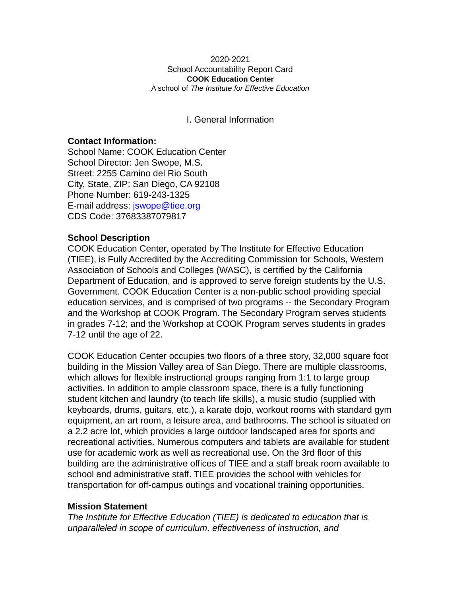#### 2020-2021 School Accountability Report Card **COOK Education Center** A school of *The Institute for Effective Education*

I. General Information

### **Contact Information:**

School Name: COOK Education Center School Director: Jen Swope, M.S. Street: 2255 Camino del Rio South City, State, ZIP: San Diego, CA 92108 Phone Number: 619-243-1325 E-mail address: [jswope@tiee.org](mailto:jswope@tiee.org) CDS Code: 37683387079817

### **School Description**

COOK Education Center, operated by The Institute for Effective Education (TIEE), is Fully Accredited by the Accrediting Commission for Schools, Western Association of Schools and Colleges (WASC), is certified by the California Department of Education, and is approved to serve foreign students by the U.S. Government. COOK Education Center is a non-public school providing special education services, and is comprised of two programs -- the Secondary Program and the Workshop at COOK Program. The Secondary Program serves students in grades 7-12; and the Workshop at COOK Program serves students in grades 7-12 until the age of 22.

COOK Education Center occupies two floors of a three story, 32,000 square foot building in the Mission Valley area of San Diego. There are multiple classrooms, which allows for flexible instructional groups ranging from 1:1 to large group activities. In addition to ample classroom space, there is a fully functioning student kitchen and laundry (to teach life skills), a music studio (supplied with keyboards, drums, guitars, etc.), a karate dojo, workout rooms with standard gym equipment, an art room, a leisure area, and bathrooms. The school is situated on a 2.2 acre lot, which provides a large outdoor landscaped area for sports and recreational activities. Numerous computers and tablets are available for student use for academic work as well as recreational use. On the 3rd floor of this building are the administrative offices of TIEE and a staff break room available to school and administrative staff. TIEE provides the school with vehicles for transportation for off-campus outings and vocational training opportunities.

### **Mission Statement**

*The Institute for Effective Education (TIEE) is dedicated to education that is unparalleled in scope of curriculum, effectiveness of instruction, and*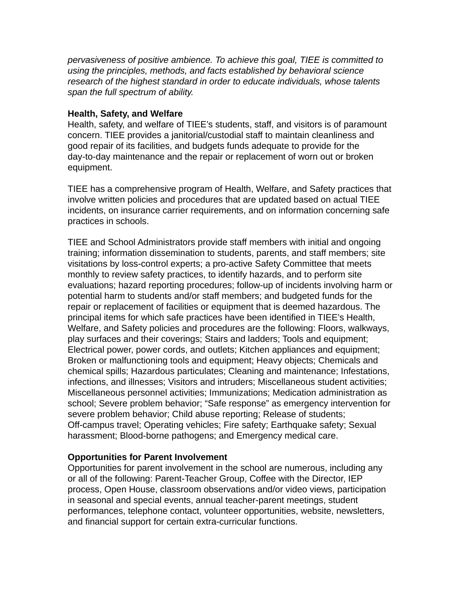*pervasiveness of positive ambience. To achieve this goal, TIEE is committed to using the principles, methods, and facts established by behavioral science research of the highest standard in order to educate individuals, whose talents span the full spectrum of ability.*

## **Health, Safety, and Welfare**

Health, safety, and welfare of TIEE's students, staff, and visitors is of paramount concern. TIEE provides a janitorial/custodial staff to maintain cleanliness and good repair of its facilities, and budgets funds adequate to provide for the day-to-day maintenance and the repair or replacement of worn out or broken equipment.

TIEE has a comprehensive program of Health, Welfare, and Safety practices that involve written policies and procedures that are updated based on actual TIEE incidents, on insurance carrier requirements, and on information concerning safe practices in schools.

TIEE and School Administrators provide staff members with initial and ongoing training; information dissemination to students, parents, and staff members; site visitations by loss-control experts; a pro-active Safety Committee that meets monthly to review safety practices, to identify hazards, and to perform site evaluations; hazard reporting procedures; follow-up of incidents involving harm or potential harm to students and/or staff members; and budgeted funds for the repair or replacement of facilities or equipment that is deemed hazardous. The principal items for which safe practices have been identified in TIEE's Health, Welfare, and Safety policies and procedures are the following: Floors, walkways, play surfaces and their coverings; Stairs and ladders; Tools and equipment; Electrical power, power cords, and outlets; Kitchen appliances and equipment; Broken or malfunctioning tools and equipment; Heavy objects; Chemicals and chemical spills; Hazardous particulates; Cleaning and maintenance; Infestations, infections, and illnesses; Visitors and intruders; Miscellaneous student activities; Miscellaneous personnel activities; Immunizations; Medication administration as school; Severe problem behavior; "Safe response" as emergency intervention for severe problem behavior; Child abuse reporting; Release of students; Off-campus travel; Operating vehicles; Fire safety; Earthquake safety; Sexual harassment; Blood-borne pathogens; and Emergency medical care.

## **Opportunities for Parent Involvement**

Opportunities for parent involvement in the school are numerous, including any or all of the following: Parent-Teacher Group, Coffee with the Director, IEP process, Open House, classroom observations and/or video views, participation in seasonal and special events, annual teacher-parent meetings, student performances, telephone contact, volunteer opportunities, website, newsletters, and financial support for certain extra-curricular functions.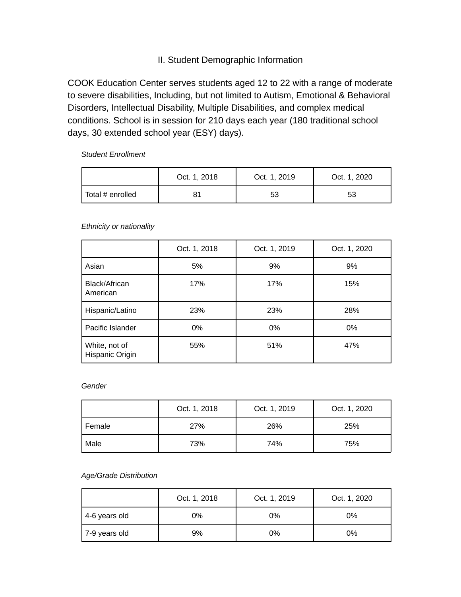# II. Student Demographic Information

COOK Education Center serves students aged 12 to 22 with a range of moderate to severe disabilities, Including, but not limited to Autism, Emotional & Behavioral Disorders, Intellectual Disability, Multiple Disabilities, and complex medical conditions. School is in session for 210 days each year (180 traditional school days, 30 extended school year (ESY) days).

*Student Enrollment*

|                          | Oct. 1, 2018 | Oct. 1, 2019 | Oct. 1, 2020 |
|--------------------------|--------------|--------------|--------------|
| $\vert$ Total # enrolled |              | 53           | 53           |

### *Ethnicity or nationality*

|                                  | Oct. 1, 2018 | Oct. 1, 2019 | Oct. 1, 2020 |
|----------------------------------|--------------|--------------|--------------|
| Asian                            | 5%           | 9%           | 9%           |
| Black/African<br>American        | 17%          | 17%          | 15%          |
| Hispanic/Latino                  | 23%          | 23%          | 28%          |
| Pacific Islander                 | 0%           | 0%           | 0%           |
| White, not of<br>Hispanic Origin | 55%          | 51%          | 47%          |

### *Gender*

|        | Oct. 1, 2018 | Oct. 1, 2019 | Oct. 1, 2020 |
|--------|--------------|--------------|--------------|
| Female | 27%          | 26%          | 25%          |
| Male   | 73%          | 74%          | 75%          |

### *Age/Grade Distribution*

|                 | Oct. 1, 2018 | Oct. 1, 2019 | Oct. 1, 2020 |
|-----------------|--------------|--------------|--------------|
| 4-6 years old   | 0%           | 0%           | 0%           |
| ' 7-9 years old | 9%           | 0%           | 0%           |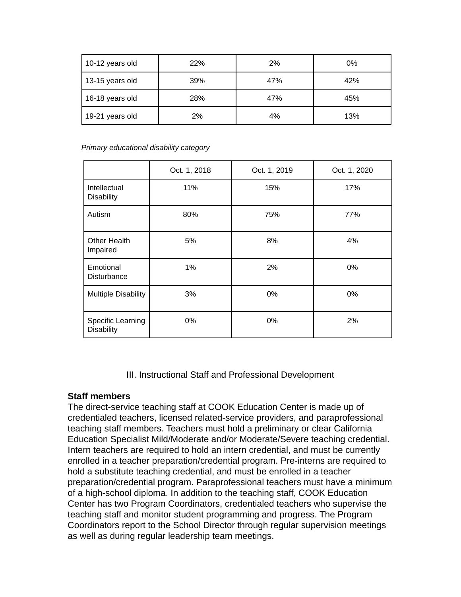| 10-12 years old | 22% | 2%  | 0%  |
|-----------------|-----|-----|-----|
| 13-15 years old | 39% | 47% | 42% |
| 16-18 years old | 28% | 47% | 45% |
| 19-21 years old | 2%  | 4%  | 13% |

*Primary educational disability category*

|                                        | Oct. 1, 2018 | Oct. 1, 2019 | Oct. 1, 2020 |
|----------------------------------------|--------------|--------------|--------------|
| Intellectual<br><b>Disability</b>      | 11%          | 15%          | 17%          |
| Autism                                 | 80%          | 75%          | 77%          |
| <b>Other Health</b><br>Impaired        | 5%           | 8%           | 4%           |
| Emotional<br>Disturbance               | 1%           | 2%           | 0%           |
| <b>Multiple Disability</b>             | 3%           | 0%           | 0%           |
| Specific Learning<br><b>Disability</b> | 0%           | 0%           | 2%           |

III. Instructional Staff and Professional Development

# **Staff members**

The direct-service teaching staff at COOK Education Center is made up of credentialed teachers, licensed related-service providers, and paraprofessional teaching staff members. Teachers must hold a preliminary or clear California Education Specialist Mild/Moderate and/or Moderate/Severe teaching credential. Intern teachers are required to hold an intern credential, and must be currently enrolled in a teacher preparation/credential program. Pre-interns are required to hold a substitute teaching credential, and must be enrolled in a teacher preparation/credential program. Paraprofessional teachers must have a minimum of a high-school diploma. In addition to the teaching staff, COOK Education Center has two Program Coordinators, credentialed teachers who supervise the teaching staff and monitor student programming and progress. The Program Coordinators report to the School Director through regular supervision meetings as well as during regular leadership team meetings.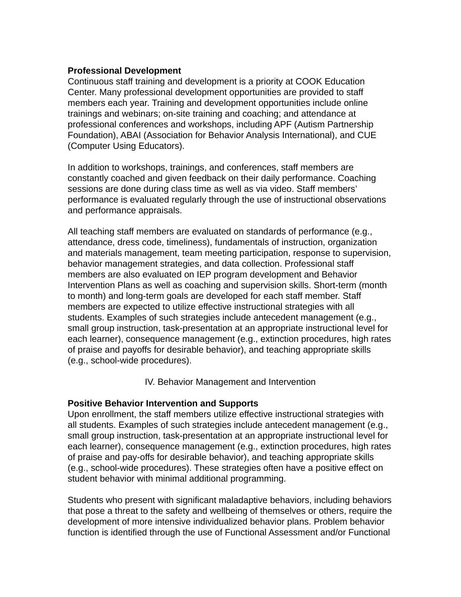## **Professional Development**

Continuous staff training and development is a priority at COOK Education Center. Many professional development opportunities are provided to staff members each year. Training and development opportunities include online trainings and webinars; on-site training and coaching; and attendance at professional conferences and workshops, including APF (Autism Partnership Foundation), ABAI (Association for Behavior Analysis International), and CUE (Computer Using Educators).

In addition to workshops, trainings, and conferences, staff members are constantly coached and given feedback on their daily performance. Coaching sessions are done during class time as well as via video. Staff members' performance is evaluated regularly through the use of instructional observations and performance appraisals.

All teaching staff members are evaluated on standards of performance (e.g., attendance, dress code, timeliness), fundamentals of instruction, organization and materials management, team meeting participation, response to supervision, behavior management strategies, and data collection. Professional staff members are also evaluated on IEP program development and Behavior Intervention Plans as well as coaching and supervision skills. Short-term (month to month) and long-term goals are developed for each staff member. Staff members are expected to utilize effective instructional strategies with all students. Examples of such strategies include antecedent management (e.g., small group instruction, task-presentation at an appropriate instructional level for each learner), consequence management (e.g., extinction procedures, high rates of praise and payoffs for desirable behavior), and teaching appropriate skills (e.g., school-wide procedures).

IV. Behavior Management and Intervention

## **Positive Behavior Intervention and Supports**

Upon enrollment, the staff members utilize effective instructional strategies with all students. Examples of such strategies include antecedent management (e.g., small group instruction, task-presentation at an appropriate instructional level for each learner), consequence management (e.g., extinction procedures, high rates of praise and pay-offs for desirable behavior), and teaching appropriate skills (e.g., school-wide procedures). These strategies often have a positive effect on student behavior with minimal additional programming.

Students who present with significant maladaptive behaviors, including behaviors that pose a threat to the safety and wellbeing of themselves or others, require the development of more intensive individualized behavior plans. Problem behavior function is identified through the use of Functional Assessment and/or Functional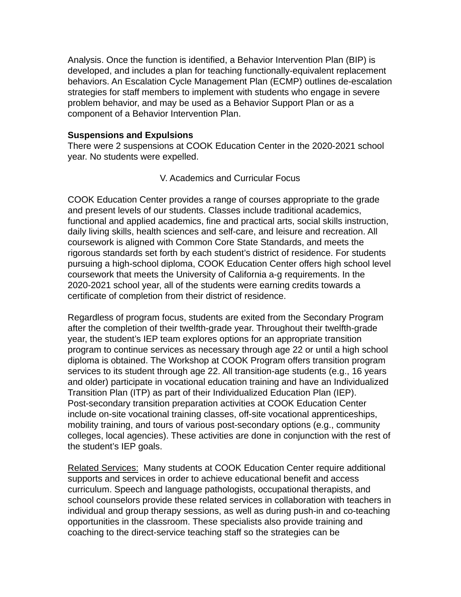Analysis. Once the function is identified, a Behavior Intervention Plan (BIP) is developed, and includes a plan for teaching functionally-equivalent replacement behaviors. An Escalation Cycle Management Plan (ECMP) outlines de-escalation strategies for staff members to implement with students who engage in severe problem behavior, and may be used as a Behavior Support Plan or as a component of a Behavior Intervention Plan.

## **Suspensions and Expulsions**

There were 2 suspensions at COOK Education Center in the 2020-2021 school year. No students were expelled.

## V. Academics and Curricular Focus

COOK Education Center provides a range of courses appropriate to the grade and present levels of our students. Classes include traditional academics, functional and applied academics, fine and practical arts, social skills instruction, daily living skills, health sciences and self-care, and leisure and recreation. All coursework is aligned with Common Core State Standards, and meets the rigorous standards set forth by each student's district of residence. For students pursuing a high-school diploma, COOK Education Center offers high school level coursework that meets the University of California a-g requirements. In the 2020-2021 school year, all of the students were earning credits towards a certificate of completion from their district of residence.

Regardless of program focus, students are exited from the Secondary Program after the completion of their twelfth-grade year. Throughout their twelfth-grade year, the student's IEP team explores options for an appropriate transition program to continue services as necessary through age 22 or until a high school diploma is obtained. The Workshop at COOK Program offers transition program services to its student through age 22. All transition-age students (e.g., 16 years and older) participate in vocational education training and have an Individualized Transition Plan (ITP) as part of their Individualized Education Plan (IEP). Post-secondary transition preparation activities at COOK Education Center include on-site vocational training classes, off-site vocational apprenticeships, mobility training, and tours of various post-secondary options (e.g., community colleges, local agencies). These activities are done in conjunction with the rest of the student's IEP goals.

Related Services: Many students at COOK Education Center require additional supports and services in order to achieve educational benefit and access curriculum. Speech and language pathologists, occupational therapists, and school counselors provide these related services in collaboration with teachers in individual and group therapy sessions, as well as during push-in and co-teaching opportunities in the classroom. These specialists also provide training and coaching to the direct-service teaching staff so the strategies can be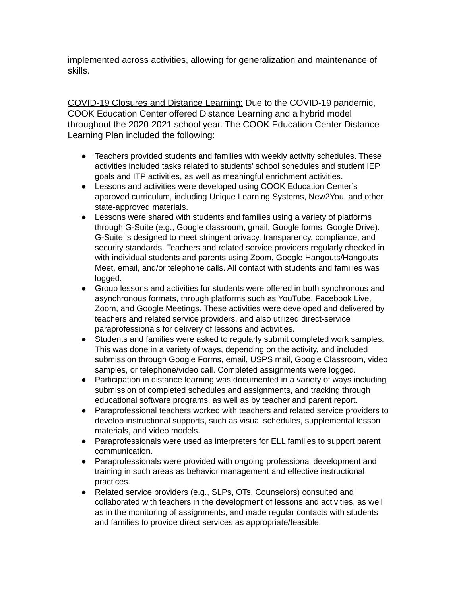implemented across activities, allowing for generalization and maintenance of skills.

COVID-19 Closures and Distance Learning: Due to the COVID-19 pandemic, COOK Education Center offered Distance Learning and a hybrid model throughout the 2020-2021 school year. The COOK Education Center Distance Learning Plan included the following:

- Teachers provided students and families with weekly activity schedules. These activities included tasks related to students' school schedules and student IEP goals and ITP activities, as well as meaningful enrichment activities.
- Lessons and activities were developed using COOK Education Center's approved curriculum, including Unique Learning Systems, New2You, and other state-approved materials.
- Lessons were shared with students and families using a variety of platforms through G-Suite (e.g., Google classroom, gmail, Google forms, Google Drive). G-Suite is designed to meet stringent privacy, transparency, compliance, and security standards. Teachers and related service providers regularly checked in with individual students and parents using Zoom, Google Hangouts/Hangouts Meet, email, and/or telephone calls. All contact with students and families was logged.
- Group lessons and activities for students were offered in both synchronous and asynchronous formats, through platforms such as YouTube, Facebook Live, Zoom, and Google Meetings. These activities were developed and delivered by teachers and related service providers, and also utilized direct-service paraprofessionals for delivery of lessons and activities.
- Students and families were asked to regularly submit completed work samples. This was done in a variety of ways, depending on the activity, and included submission through Google Forms, email, USPS mail, Google Classroom, video samples, or telephone/video call. Completed assignments were logged.
- Participation in distance learning was documented in a variety of ways including submission of completed schedules and assignments, and tracking through educational software programs, as well as by teacher and parent report.
- Paraprofessional teachers worked with teachers and related service providers to develop instructional supports, such as visual schedules, supplemental lesson materials, and video models.
- Paraprofessionals were used as interpreters for ELL families to support parent communication.
- Paraprofessionals were provided with ongoing professional development and training in such areas as behavior management and effective instructional practices.
- Related service providers (e.g., SLPs, OTs, Counselors) consulted and collaborated with teachers in the development of lessons and activities, as well as in the monitoring of assignments, and made regular contacts with students and families to provide direct services as appropriate/feasible.